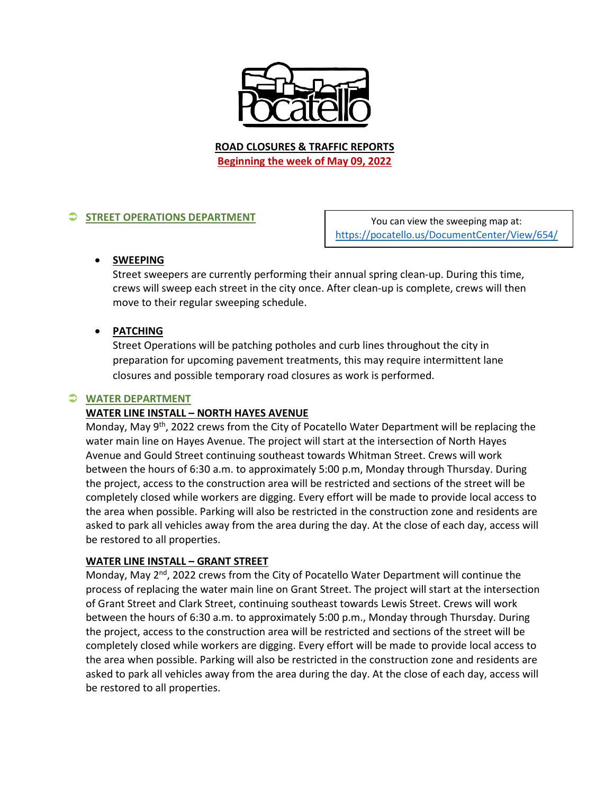

**ROAD CLOSURES & TRAFFIC REPORTS Beginning the week of May 09, 2022**

# **STREET OPERATIONS DEPARTMENT**

You can view the sweeping map at: <https://pocatello.us/DocumentCenter/View/654/>

## • **SWEEPING**

Street sweepers are currently performing their annual spring clean-up. During this time, crews will sweep each street in the city once. After clean-up is complete, crews will then move to their regular sweeping schedule.

# • **PATCHING**

Street Operations will be patching potholes and curb lines throughout the city in preparation for upcoming pavement treatments, this may require intermittent lane closures and possible temporary road closures as work is performed.

### **WATER DEPARTMENT**

## **WATER LINE INSTALL – NORTH HAYES AVENUE**

Monday, May 9<sup>th</sup>, 2022 crews from the City of Pocatello Water Department will be replacing the water main line on Hayes Avenue. The project will start at the intersection of North Hayes Avenue and Gould Street continuing southeast towards Whitman Street. Crews will work between the hours of 6:30 a.m. to approximately 5:00 p.m, Monday through Thursday. During the project, access to the construction area will be restricted and sections of the street will be completely closed while workers are digging. Every effort will be made to provide local access to the area when possible. Parking will also be restricted in the construction zone and residents are asked to park all vehicles away from the area during the day. At the close of each day, access will be restored to all properties.

### **WATER LINE INSTALL – GRANT STREET**

Monday, May 2<sup>nd</sup>, 2022 crews from the City of Pocatello Water Department will continue the process of replacing the water main line on Grant Street. The project will start at the intersection of Grant Street and Clark Street, continuing southeast towards Lewis Street. Crews will work between the hours of 6:30 a.m. to approximately 5:00 p.m., Monday through Thursday. During the project, access to the construction area will be restricted and sections of the street will be completely closed while workers are digging. Every effort will be made to provide local access to the area when possible. Parking will also be restricted in the construction zone and residents are asked to park all vehicles away from the area during the day. At the close of each day, access will be restored to all properties.